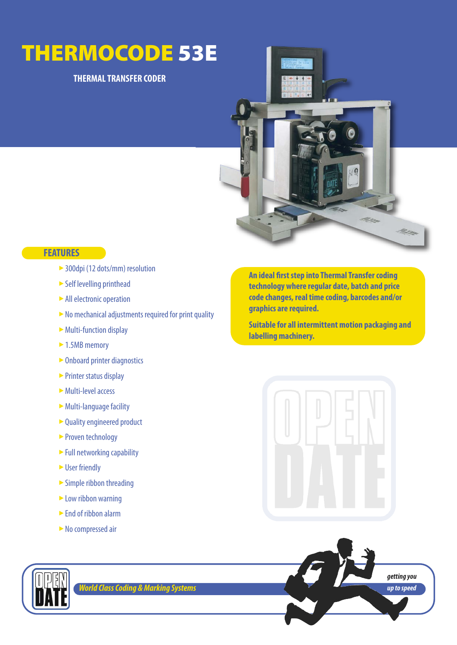# **THERMOCODE 53E**

## **THERMAL TRANSFER CODER**



## **FEATURES**

- ► 300dpi (12 dots/mm) resolution
- Self levelling printhead
- ► All electronic operation
- lacktrian and a Muslim entity required for print quality
- ► Multi-function display
- ► 1.5MB memory
- ► Onboard printer diagnostics
- ► Printer status display
- Multi-level access ‣
- ► Multi-language facility
- ► Quality engineered product
- ► Proven technology
- ► Full networking capability
- $\blacktriangleright$  User friendly
- $\triangleright$  Simple ribbon threading
- ► Low ribbon warning
- ► End of ribbon alarm
- lacktriangleright No compressed air

**An ideal first step into Thermal Transfer coding technology where regular date, batch and price code changes, real time coding, barcodes and/or graphics are required.** 

**Suitable for all intermittent motion packaging and labelling machinery.**







*World Class Coding & Marking Systems*